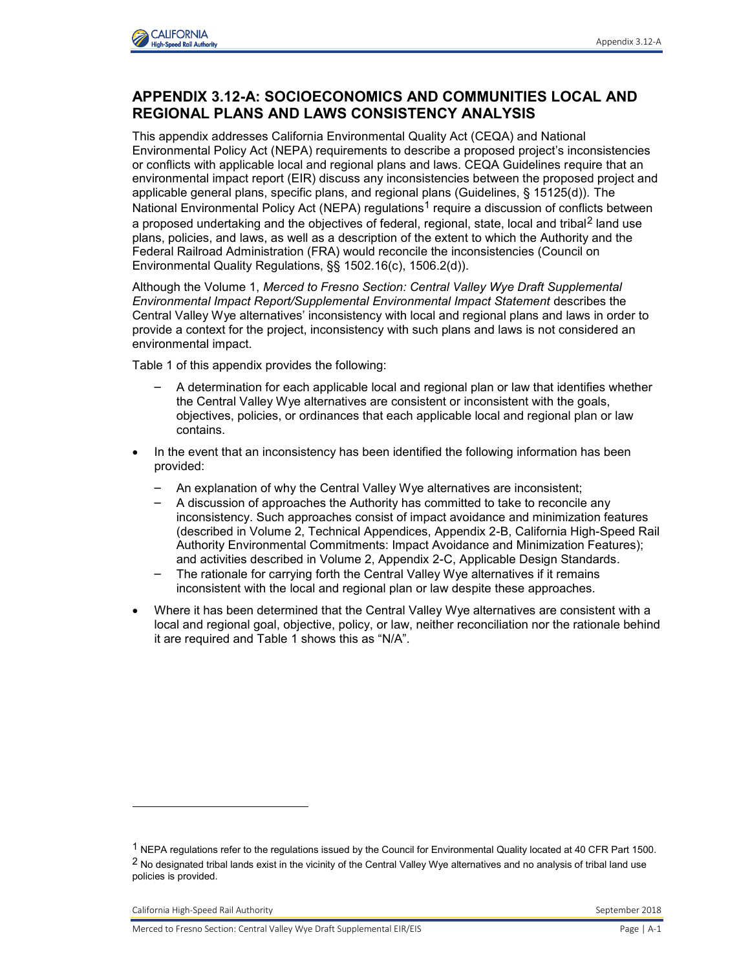

## **APPENDIX 3.12-A: SOCIOECONOMICS AND COMMUNITIES LOCAL AND REGIONAL PLANS AND LAWS CONSISTENCY ANALYSIS**

This appendix addresses California Environmental Quality Act (CEQA) and National Environmental Policy Act (NEPA) requirements to describe a proposed project's inconsistencies or conflicts with applicable local and regional plans and laws. CEQA Guidelines require that an environmental impact report (EIR) discuss any inconsistencies between the proposed project and applicable general plans, specific plans, and regional plans (Guidelines, § 15125(d)). The National Environmental Policy Act (NEPA) regulations<sup>1</sup> require a discussion of conflicts between a proposed undertaking and the objectives of federal, regional, state, local and tribal<sup>2</sup> land use plans, policies, and laws, as well as a description of the extent to which the Authority and the Federal Railroad Administration (FRA) would reconcile the inconsistencies (Council on Environmental Quality Regulations, §§ 1502.16(c), 1506.2(d)).

Although the Volume 1, *Merced to Fresno Section: Central Valley Wye Draft Supplemental Environmental Impact Report/Supplemental Environmental Impact Statement* describes the Central Valley Wye alternatives' inconsistency with local and regional plans and laws in order to provide a context for the project, inconsistency with such plans and laws is not considered an environmental impact.

Table 1 of this appendix provides the following:

- A determination for each applicable local and regional plan or law that identifies whether the Central Valley Wye alternatives are consistent or inconsistent with the goals, objectives, policies, or ordinances that each applicable local and regional plan or law contains.
- In the event that an inconsistency has been identified the following information has been provided:
	- An explanation of why the Central Valley Wye alternatives are inconsistent;
	- A discussion of approaches the Authority has committed to take to reconcile any inconsistency. Such approaches consist of impact avoidance and minimization features (described in Volume 2, Technical Appendices, Appendix 2-B, California High-Speed Rail Authority Environmental Commitments: Impact Avoidance and Minimization Features); and activities described in Volume 2, Appendix 2-C, Applicable Design Standards.
	- The rationale for carrying forth the Central Valley Wye alternatives if it remains inconsistent with the local and regional plan or law despite these approaches.
- Where it has been determined that the Central Valley Wye alternatives are consistent with a local and regional goal, objective, policy, or law, neither reconciliation nor the rationale behind it are required and Table 1 shows this as "N/A".

California High-Speed Rail Authority **September 2018** September 2018

-

<sup>1</sup> NEPA regulations refer to the regulations issued by the Council for Environmental Quality located at 40 CFR Part 1500. <sup>2</sup> No designated tribal lands exist in the vicinity of the Central Valley Wye alternatives and no analysis of tribal land use policies is provided.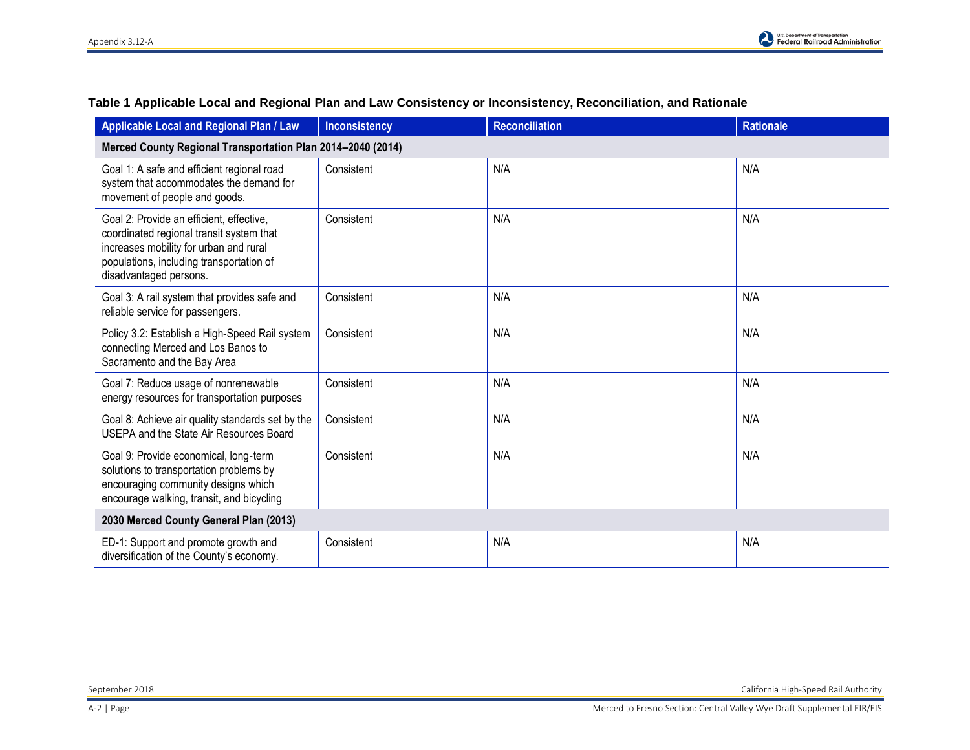| Applicable Local and Regional Plan / Law                                                                                                                                                             | <b>Inconsistency</b> | <b>Reconciliation</b> | <b>Rationale</b> |  |
|------------------------------------------------------------------------------------------------------------------------------------------------------------------------------------------------------|----------------------|-----------------------|------------------|--|
| Merced County Regional Transportation Plan 2014-2040 (2014)                                                                                                                                          |                      |                       |                  |  |
| Goal 1: A safe and efficient regional road<br>system that accommodates the demand for<br>movement of people and goods.                                                                               | Consistent           | N/A                   | N/A              |  |
| Goal 2: Provide an efficient, effective,<br>coordinated regional transit system that<br>increases mobility for urban and rural<br>populations, including transportation of<br>disadvantaged persons. | Consistent           | N/A                   | N/A              |  |
| Goal 3: A rail system that provides safe and<br>reliable service for passengers.                                                                                                                     | Consistent           | N/A                   | N/A              |  |
| Policy 3.2: Establish a High-Speed Rail system<br>connecting Merced and Los Banos to<br>Sacramento and the Bay Area                                                                                  | Consistent           | N/A                   | N/A              |  |
| Goal 7: Reduce usage of nonrenewable<br>energy resources for transportation purposes                                                                                                                 | Consistent           | N/A                   | N/A              |  |
| Goal 8: Achieve air quality standards set by the<br>USEPA and the State Air Resources Board                                                                                                          | Consistent           | N/A                   | N/A              |  |
| Goal 9: Provide economical, long-term<br>solutions to transportation problems by<br>encouraging community designs which<br>encourage walking, transit, and bicycling                                 | Consistent           | N/A                   | N/A              |  |
| 2030 Merced County General Plan (2013)                                                                                                                                                               |                      |                       |                  |  |
| ED-1: Support and promote growth and<br>diversification of the County's economy.                                                                                                                     | Consistent           | N/A                   | N/A              |  |

## **Table 1 Applicable Local and Regional Plan and Law Consistency or Inconsistency, Reconciliation, and Rationale**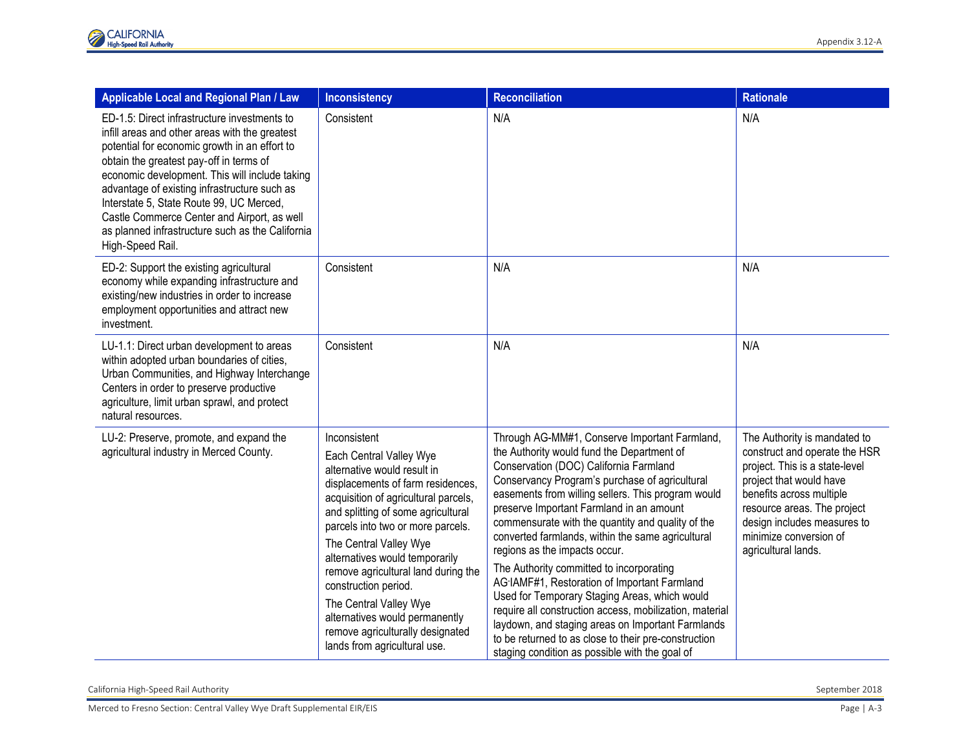| <b>Applicable Local and Regional Plan / Law</b>                                                                                                                                                                                                                                                                                                                                                                                                                 | <b>Inconsistency</b>                                                                                                                                                                                                                                                                                                                                                                                                                                                                      | Reconciliation                                                                                                                                                                                                                                                                                                                                                                                                                                                                                                                                                                                                                                                                                                                                                                                              | <b>Rationale</b>                                                                                                                                                                                                                                                      |
|-----------------------------------------------------------------------------------------------------------------------------------------------------------------------------------------------------------------------------------------------------------------------------------------------------------------------------------------------------------------------------------------------------------------------------------------------------------------|-------------------------------------------------------------------------------------------------------------------------------------------------------------------------------------------------------------------------------------------------------------------------------------------------------------------------------------------------------------------------------------------------------------------------------------------------------------------------------------------|-------------------------------------------------------------------------------------------------------------------------------------------------------------------------------------------------------------------------------------------------------------------------------------------------------------------------------------------------------------------------------------------------------------------------------------------------------------------------------------------------------------------------------------------------------------------------------------------------------------------------------------------------------------------------------------------------------------------------------------------------------------------------------------------------------------|-----------------------------------------------------------------------------------------------------------------------------------------------------------------------------------------------------------------------------------------------------------------------|
| ED-1.5: Direct infrastructure investments to<br>infill areas and other areas with the greatest<br>potential for economic growth in an effort to<br>obtain the greatest pay-off in terms of<br>economic development. This will include taking<br>advantage of existing infrastructure such as<br>Interstate 5, State Route 99, UC Merced,<br>Castle Commerce Center and Airport, as well<br>as planned infrastructure such as the California<br>High-Speed Rail. | Consistent                                                                                                                                                                                                                                                                                                                                                                                                                                                                                | N/A                                                                                                                                                                                                                                                                                                                                                                                                                                                                                                                                                                                                                                                                                                                                                                                                         | N/A                                                                                                                                                                                                                                                                   |
| ED-2: Support the existing agricultural<br>economy while expanding infrastructure and<br>existing/new industries in order to increase<br>employment opportunities and attract new<br>investment.                                                                                                                                                                                                                                                                | Consistent                                                                                                                                                                                                                                                                                                                                                                                                                                                                                | N/A                                                                                                                                                                                                                                                                                                                                                                                                                                                                                                                                                                                                                                                                                                                                                                                                         | N/A                                                                                                                                                                                                                                                                   |
| LU-1.1: Direct urban development to areas<br>within adopted urban boundaries of cities,<br>Urban Communities, and Highway Interchange<br>Centers in order to preserve productive<br>agriculture, limit urban sprawl, and protect<br>natural resources.                                                                                                                                                                                                          | Consistent                                                                                                                                                                                                                                                                                                                                                                                                                                                                                | N/A                                                                                                                                                                                                                                                                                                                                                                                                                                                                                                                                                                                                                                                                                                                                                                                                         | N/A                                                                                                                                                                                                                                                                   |
| LU-2: Preserve, promote, and expand the<br>agricultural industry in Merced County.                                                                                                                                                                                                                                                                                                                                                                              | Inconsistent<br>Each Central Valley Wye<br>alternative would result in<br>displacements of farm residences,<br>acquisition of agricultural parcels,<br>and splitting of some agricultural<br>parcels into two or more parcels.<br>The Central Valley Wye<br>alternatives would temporarily<br>remove agricultural land during the<br>construction period.<br>The Central Valley Wye<br>alternatives would permanently<br>remove agriculturally designated<br>lands from agricultural use. | Through AG-MM#1, Conserve Important Farmland,<br>the Authority would fund the Department of<br>Conservation (DOC) California Farmland<br>Conservancy Program's purchase of agricultural<br>easements from willing sellers. This program would<br>preserve Important Farmland in an amount<br>commensurate with the quantity and quality of the<br>converted farmlands, within the same agricultural<br>regions as the impacts occur.<br>The Authority committed to incorporating<br>AG IAMF#1, Restoration of Important Farmland<br>Used for Temporary Staging Areas, which would<br>require all construction access, mobilization, material<br>laydown, and staging areas on Important Farmlands<br>to be returned to as close to their pre-construction<br>staging condition as possible with the goal of | The Authority is mandated to<br>construct and operate the HSR<br>project. This is a state-level<br>project that would have<br>benefits across multiple<br>resource areas. The project<br>design includes measures to<br>minimize conversion of<br>agricultural lands. |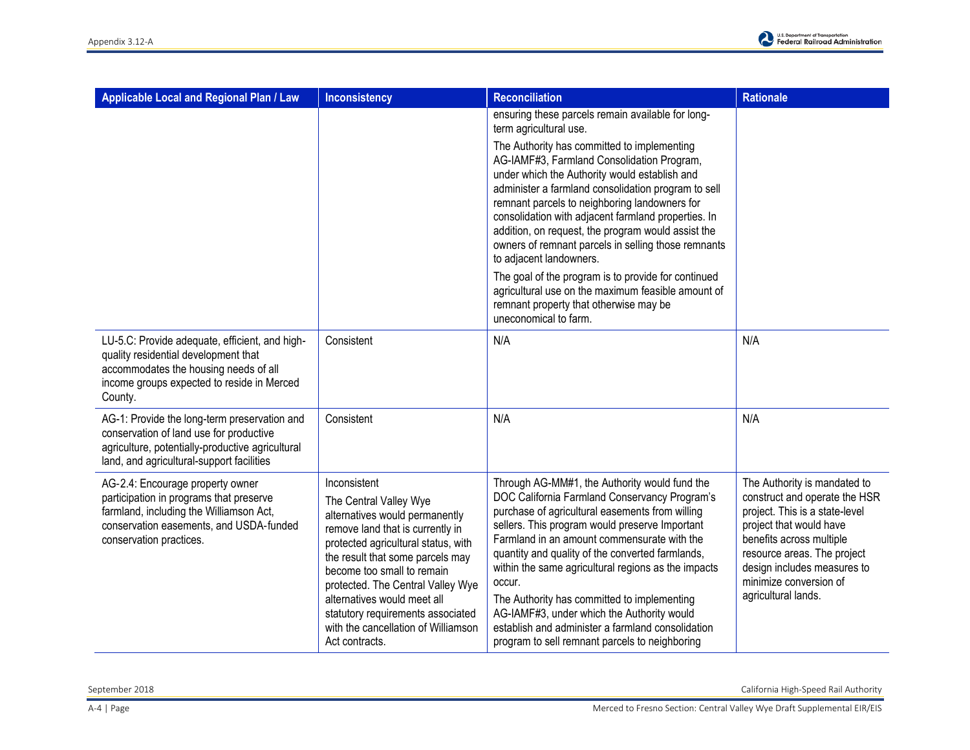

| Applicable Local and Regional Plan / Law                                                                                                                                                     | <b>Inconsistency</b>                                                                                                                                                                                                                                                                                                                                                                    | <b>Reconciliation</b>                                                                                                                                                                                                                                                                                                                                                                                                                                                                                                                                                       | <b>Rationale</b>                                                                                                                                                                                                                                                      |
|----------------------------------------------------------------------------------------------------------------------------------------------------------------------------------------------|-----------------------------------------------------------------------------------------------------------------------------------------------------------------------------------------------------------------------------------------------------------------------------------------------------------------------------------------------------------------------------------------|-----------------------------------------------------------------------------------------------------------------------------------------------------------------------------------------------------------------------------------------------------------------------------------------------------------------------------------------------------------------------------------------------------------------------------------------------------------------------------------------------------------------------------------------------------------------------------|-----------------------------------------------------------------------------------------------------------------------------------------------------------------------------------------------------------------------------------------------------------------------|
|                                                                                                                                                                                              |                                                                                                                                                                                                                                                                                                                                                                                         | ensuring these parcels remain available for long-<br>term agricultural use.                                                                                                                                                                                                                                                                                                                                                                                                                                                                                                 |                                                                                                                                                                                                                                                                       |
|                                                                                                                                                                                              |                                                                                                                                                                                                                                                                                                                                                                                         | The Authority has committed to implementing<br>AG-IAMF#3, Farmland Consolidation Program,<br>under which the Authority would establish and<br>administer a farmland consolidation program to sell<br>remnant parcels to neighboring landowners for<br>consolidation with adjacent farmland properties. In<br>addition, on request, the program would assist the<br>owners of remnant parcels in selling those remnants<br>to adjacent landowners.                                                                                                                           |                                                                                                                                                                                                                                                                       |
|                                                                                                                                                                                              |                                                                                                                                                                                                                                                                                                                                                                                         | The goal of the program is to provide for continued<br>agricultural use on the maximum feasible amount of<br>remnant property that otherwise may be<br>uneconomical to farm.                                                                                                                                                                                                                                                                                                                                                                                                |                                                                                                                                                                                                                                                                       |
| LU-5.C: Provide adequate, efficient, and high-<br>quality residential development that<br>accommodates the housing needs of all<br>income groups expected to reside in Merced<br>County.     | Consistent                                                                                                                                                                                                                                                                                                                                                                              | N/A                                                                                                                                                                                                                                                                                                                                                                                                                                                                                                                                                                         | N/A                                                                                                                                                                                                                                                                   |
| AG-1: Provide the long-term preservation and<br>conservation of land use for productive<br>agriculture, potentially-productive agricultural<br>land, and agricultural-support facilities     | Consistent                                                                                                                                                                                                                                                                                                                                                                              | N/A                                                                                                                                                                                                                                                                                                                                                                                                                                                                                                                                                                         | N/A                                                                                                                                                                                                                                                                   |
| AG-2.4: Encourage property owner<br>participation in programs that preserve<br>farmland, including the Williamson Act,<br>conservation easements, and USDA-funded<br>conservation practices. | Inconsistent<br>The Central Valley Wye<br>alternatives would permanently<br>remove land that is currently in<br>protected agricultural status, with<br>the result that some parcels may<br>become too small to remain<br>protected. The Central Valley Wye<br>alternatives would meet all<br>statutory requirements associated<br>with the cancellation of Williamson<br>Act contracts. | Through AG-MM#1, the Authority would fund the<br>DOC California Farmland Conservancy Program's<br>purchase of agricultural easements from willing<br>sellers. This program would preserve Important<br>Farmland in an amount commensurate with the<br>quantity and quality of the converted farmlands,<br>within the same agricultural regions as the impacts<br>occur.<br>The Authority has committed to implementing<br>AG-IAMF#3, under which the Authority would<br>establish and administer a farmland consolidation<br>program to sell remnant parcels to neighboring | The Authority is mandated to<br>construct and operate the HSR<br>project. This is a state-level<br>project that would have<br>benefits across multiple<br>resource areas. The project<br>design includes measures to<br>minimize conversion of<br>agricultural lands. |

September 2018 California High-Speed Rail Authority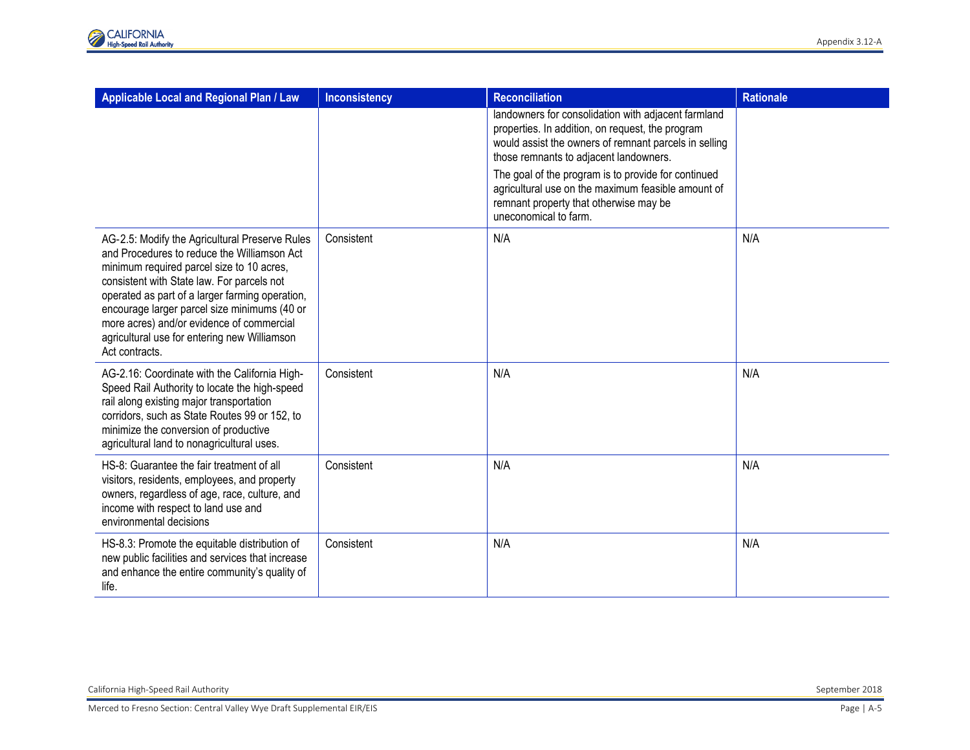| Applicable Local and Regional Plan / Law                                                                                                                                                                                                                                                                                                                                                                   | <b>Inconsistency</b> | <b>Reconciliation</b>                                                                                                                                                                                      | <b>Rationale</b> |
|------------------------------------------------------------------------------------------------------------------------------------------------------------------------------------------------------------------------------------------------------------------------------------------------------------------------------------------------------------------------------------------------------------|----------------------|------------------------------------------------------------------------------------------------------------------------------------------------------------------------------------------------------------|------------------|
|                                                                                                                                                                                                                                                                                                                                                                                                            |                      | landowners for consolidation with adjacent farmland<br>properties. In addition, on request, the program<br>would assist the owners of remnant parcels in selling<br>those remnants to adjacent landowners. |                  |
|                                                                                                                                                                                                                                                                                                                                                                                                            |                      | The goal of the program is to provide for continued<br>agricultural use on the maximum feasible amount of<br>remnant property that otherwise may be<br>uneconomical to farm.                               |                  |
| AG-2.5: Modify the Agricultural Preserve Rules<br>and Procedures to reduce the Williamson Act<br>minimum required parcel size to 10 acres,<br>consistent with State law. For parcels not<br>operated as part of a larger farming operation,<br>encourage larger parcel size minimums (40 or<br>more acres) and/or evidence of commercial<br>agricultural use for entering new Williamson<br>Act contracts. | Consistent           | N/A                                                                                                                                                                                                        | N/A              |
| AG-2.16: Coordinate with the California High-<br>Speed Rail Authority to locate the high-speed<br>rail along existing major transportation<br>corridors, such as State Routes 99 or 152, to<br>minimize the conversion of productive<br>agricultural land to nonagricultural uses.                                                                                                                         | Consistent           | N/A                                                                                                                                                                                                        | N/A              |
| HS-8: Guarantee the fair treatment of all<br>visitors, residents, employees, and property<br>owners, regardless of age, race, culture, and<br>income with respect to land use and<br>environmental decisions                                                                                                                                                                                               | Consistent           | N/A                                                                                                                                                                                                        | N/A              |
| HS-8.3: Promote the equitable distribution of<br>new public facilities and services that increase<br>and enhance the entire community's quality of<br>life.                                                                                                                                                                                                                                                | Consistent           | N/A                                                                                                                                                                                                        | N/A              |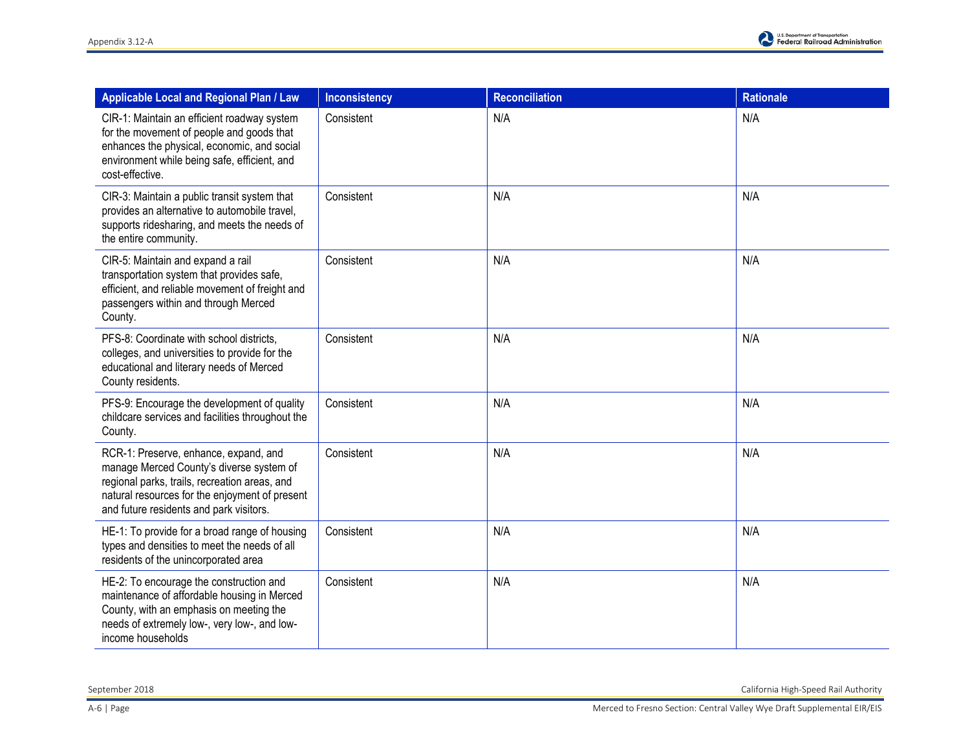| Applicable Local and Regional Plan / Law                                                                                                                                                                                        | <b>Inconsistency</b> | <b>Reconciliation</b> | <b>Rationale</b> |
|---------------------------------------------------------------------------------------------------------------------------------------------------------------------------------------------------------------------------------|----------------------|-----------------------|------------------|
| CIR-1: Maintain an efficient roadway system<br>for the movement of people and goods that<br>enhances the physical, economic, and social<br>environment while being safe, efficient, and<br>cost-effective.                      | Consistent           | N/A                   | N/A              |
| CIR-3: Maintain a public transit system that<br>provides an alternative to automobile travel,<br>supports ridesharing, and meets the needs of<br>the entire community.                                                          | Consistent           | N/A                   | N/A              |
| CIR-5: Maintain and expand a rail<br>transportation system that provides safe,<br>efficient, and reliable movement of freight and<br>passengers within and through Merced<br>County.                                            | Consistent           | N/A                   | N/A              |
| PFS-8: Coordinate with school districts,<br>colleges, and universities to provide for the<br>educational and literary needs of Merced<br>County residents.                                                                      | Consistent           | N/A                   | N/A              |
| PFS-9: Encourage the development of quality<br>childcare services and facilities throughout the<br>County.                                                                                                                      | Consistent           | N/A                   | N/A              |
| RCR-1: Preserve, enhance, expand, and<br>manage Merced County's diverse system of<br>regional parks, trails, recreation areas, and<br>natural resources for the enjoyment of present<br>and future residents and park visitors. | Consistent           | N/A                   | N/A              |
| HE-1: To provide for a broad range of housing<br>types and densities to meet the needs of all<br>residents of the unincorporated area                                                                                           | Consistent           | N/A                   | N/A              |
| HE-2: To encourage the construction and<br>maintenance of affordable housing in Merced<br>County, with an emphasis on meeting the<br>needs of extremely low-, very low-, and low-<br>income households                          | Consistent           | N/A                   | N/A              |

September 2018 California High-Speed Rail Authority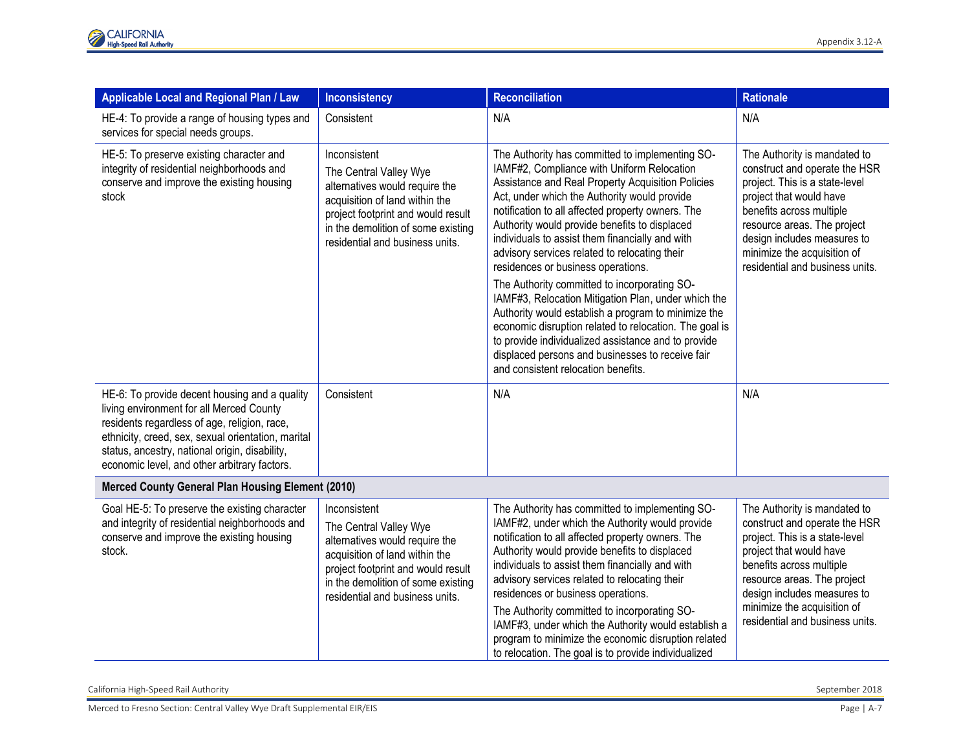| Applicable Local and Regional Plan / Law                                                                                                                                                                                                                                                          | <b>Inconsistency</b>                                                                                                                                                                                                      | <b>Reconciliation</b>                                                                                                                                                                                                                                                                                                                                                                                                                                                                                                                                                                                                                                                                                                                                                                                                        | <b>Rationale</b>                                                                                                                                                                                                                                                                       |
|---------------------------------------------------------------------------------------------------------------------------------------------------------------------------------------------------------------------------------------------------------------------------------------------------|---------------------------------------------------------------------------------------------------------------------------------------------------------------------------------------------------------------------------|------------------------------------------------------------------------------------------------------------------------------------------------------------------------------------------------------------------------------------------------------------------------------------------------------------------------------------------------------------------------------------------------------------------------------------------------------------------------------------------------------------------------------------------------------------------------------------------------------------------------------------------------------------------------------------------------------------------------------------------------------------------------------------------------------------------------------|----------------------------------------------------------------------------------------------------------------------------------------------------------------------------------------------------------------------------------------------------------------------------------------|
| HE-4: To provide a range of housing types and<br>services for special needs groups.                                                                                                                                                                                                               | Consistent                                                                                                                                                                                                                | N/A                                                                                                                                                                                                                                                                                                                                                                                                                                                                                                                                                                                                                                                                                                                                                                                                                          | N/A                                                                                                                                                                                                                                                                                    |
| HE-5: To preserve existing character and<br>integrity of residential neighborhoods and<br>conserve and improve the existing housing<br>stock                                                                                                                                                      | Inconsistent<br>The Central Valley Wye<br>alternatives would require the<br>acquisition of land within the<br>project footprint and would result<br>in the demolition of some existing<br>residential and business units. | The Authority has committed to implementing SO-<br>IAMF#2, Compliance with Uniform Relocation<br>Assistance and Real Property Acquisition Policies<br>Act, under which the Authority would provide<br>notification to all affected property owners. The<br>Authority would provide benefits to displaced<br>individuals to assist them financially and with<br>advisory services related to relocating their<br>residences or business operations.<br>The Authority committed to incorporating SO-<br>IAMF#3, Relocation Mitigation Plan, under which the<br>Authority would establish a program to minimize the<br>economic disruption related to relocation. The goal is<br>to provide individualized assistance and to provide<br>displaced persons and businesses to receive fair<br>and consistent relocation benefits. | The Authority is mandated to<br>construct and operate the HSR<br>project. This is a state-level<br>project that would have<br>benefits across multiple<br>resource areas. The project<br>design includes measures to<br>minimize the acquisition of<br>residential and business units. |
| HE-6: To provide decent housing and a quality<br>living environment for all Merced County<br>residents regardless of age, religion, race,<br>ethnicity, creed, sex, sexual orientation, marital<br>status, ancestry, national origin, disability,<br>economic level, and other arbitrary factors. | Consistent                                                                                                                                                                                                                | N/A                                                                                                                                                                                                                                                                                                                                                                                                                                                                                                                                                                                                                                                                                                                                                                                                                          | N/A                                                                                                                                                                                                                                                                                    |
| Merced County General Plan Housing Element (2010)                                                                                                                                                                                                                                                 |                                                                                                                                                                                                                           |                                                                                                                                                                                                                                                                                                                                                                                                                                                                                                                                                                                                                                                                                                                                                                                                                              |                                                                                                                                                                                                                                                                                        |
| Goal HE-5: To preserve the existing character<br>and integrity of residential neighborhoods and<br>conserve and improve the existing housing<br>stock.                                                                                                                                            | Inconsistent<br>The Central Valley Wye<br>alternatives would require the<br>acquisition of land within the<br>project footprint and would result<br>in the demolition of some existing<br>residential and business units. | The Authority has committed to implementing SO-<br>IAMF#2, under which the Authority would provide<br>notification to all affected property owners. The<br>Authority would provide benefits to displaced<br>individuals to assist them financially and with<br>advisory services related to relocating their<br>residences or business operations.<br>The Authority committed to incorporating SO-<br>IAMF#3, under which the Authority would establish a<br>program to minimize the economic disruption related<br>to relocation. The goal is to provide individualized                                                                                                                                                                                                                                                     | The Authority is mandated to<br>construct and operate the HSR<br>project. This is a state-level<br>project that would have<br>benefits across multiple<br>resource areas. The project<br>design includes measures to<br>minimize the acquisition of<br>residential and business units. |

California High-Speed Rail Authority September 2018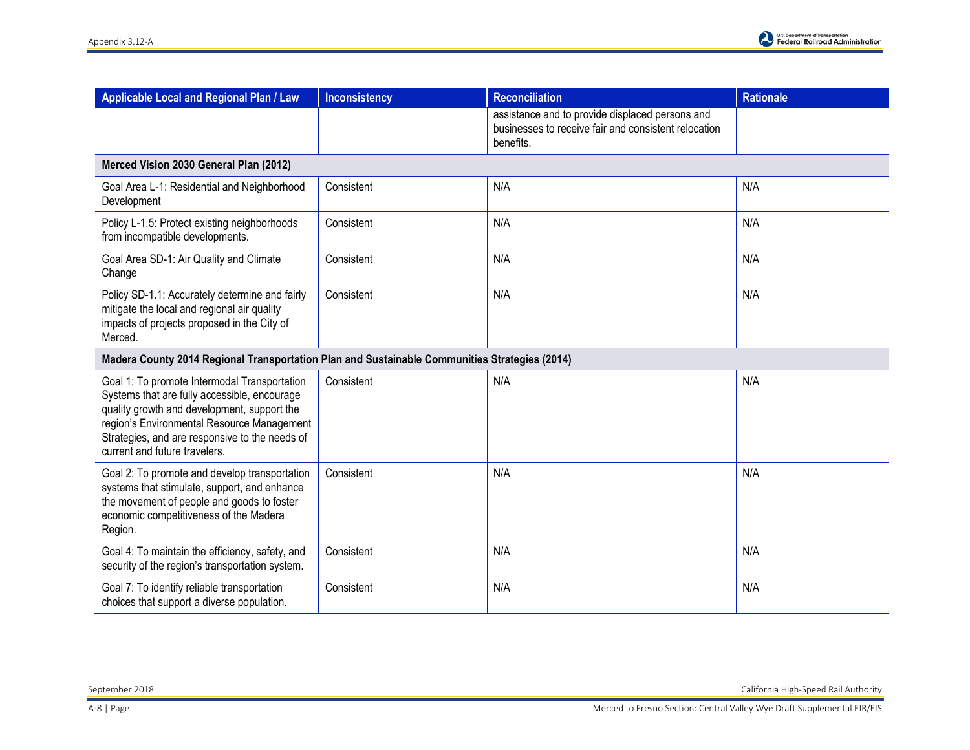| Applicable Local and Regional Plan / Law                                                                                                                                                                                                                                     | Inconsistency | <b>Reconciliation</b>                                                                                                | <b>Rationale</b> |
|------------------------------------------------------------------------------------------------------------------------------------------------------------------------------------------------------------------------------------------------------------------------------|---------------|----------------------------------------------------------------------------------------------------------------------|------------------|
|                                                                                                                                                                                                                                                                              |               | assistance and to provide displaced persons and<br>businesses to receive fair and consistent relocation<br>benefits. |                  |
| Merced Vision 2030 General Plan (2012)                                                                                                                                                                                                                                       |               |                                                                                                                      |                  |
| Goal Area L-1: Residential and Neighborhood<br>Development                                                                                                                                                                                                                   | Consistent    | N/A                                                                                                                  | N/A              |
| Policy L-1.5: Protect existing neighborhoods<br>from incompatible developments.                                                                                                                                                                                              | Consistent    | N/A                                                                                                                  | N/A              |
| Goal Area SD-1: Air Quality and Climate<br>Change                                                                                                                                                                                                                            | Consistent    | N/A                                                                                                                  | N/A              |
| Policy SD-1.1: Accurately determine and fairly<br>mitigate the local and regional air quality<br>impacts of projects proposed in the City of<br>Merced.                                                                                                                      | Consistent    | N/A                                                                                                                  | N/A              |
| Madera County 2014 Regional Transportation Plan and Sustainable Communities Strategies (2014)                                                                                                                                                                                |               |                                                                                                                      |                  |
| Goal 1: To promote Intermodal Transportation<br>Systems that are fully accessible, encourage<br>quality growth and development, support the<br>region's Environmental Resource Management<br>Strategies, and are responsive to the needs of<br>current and future travelers. | Consistent    | N/A                                                                                                                  | N/A              |
| Goal 2: To promote and develop transportation<br>systems that stimulate, support, and enhance<br>the movement of people and goods to foster<br>economic competitiveness of the Madera<br>Region.                                                                             | Consistent    | N/A                                                                                                                  | N/A              |
| Goal 4: To maintain the efficiency, safety, and<br>security of the region's transportation system.                                                                                                                                                                           | Consistent    | N/A                                                                                                                  | N/A              |
| Goal 7: To identify reliable transportation<br>choices that support a diverse population.                                                                                                                                                                                    | Consistent    | N/A                                                                                                                  | N/A              |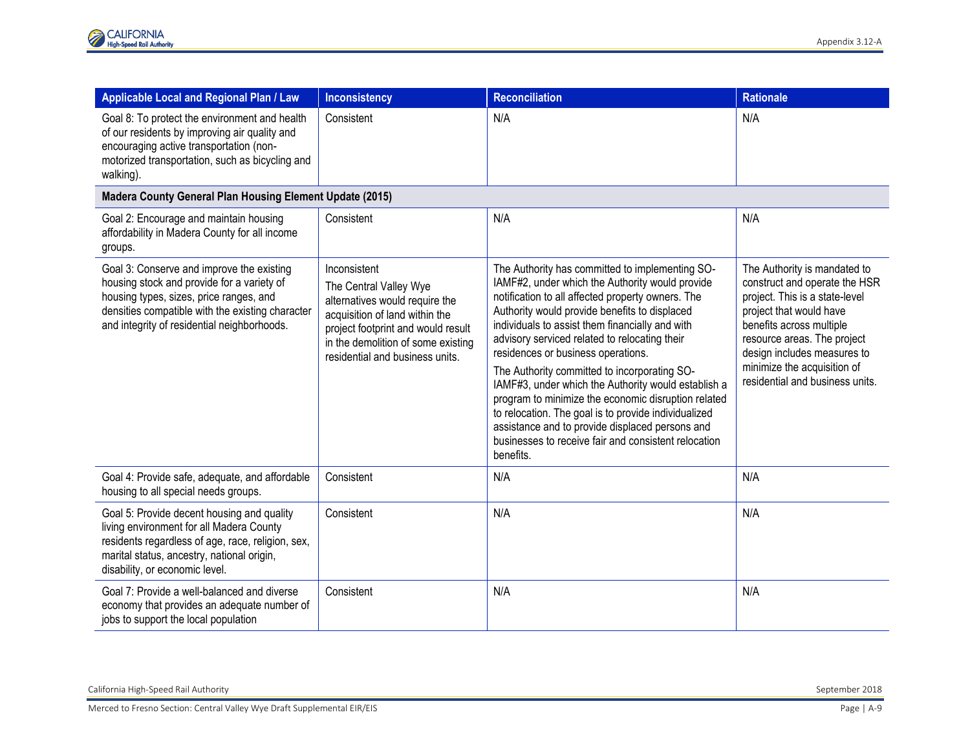| Applicable Local and Regional Plan / Law                                                                                                                                                                                              | <b>Inconsistency</b>                                                                                                                                                                                                      | <b>Reconciliation</b>                                                                                                                                                                                                                                                                                                                                                                                                                                                                                                                                                                                                                                                                            | <b>Rationale</b>                                                                                                                                                                                                                                                                       |
|---------------------------------------------------------------------------------------------------------------------------------------------------------------------------------------------------------------------------------------|---------------------------------------------------------------------------------------------------------------------------------------------------------------------------------------------------------------------------|--------------------------------------------------------------------------------------------------------------------------------------------------------------------------------------------------------------------------------------------------------------------------------------------------------------------------------------------------------------------------------------------------------------------------------------------------------------------------------------------------------------------------------------------------------------------------------------------------------------------------------------------------------------------------------------------------|----------------------------------------------------------------------------------------------------------------------------------------------------------------------------------------------------------------------------------------------------------------------------------------|
| Goal 8: To protect the environment and health<br>of our residents by improving air quality and<br>encouraging active transportation (non-<br>motorized transportation, such as bicycling and<br>walking).                             | Consistent                                                                                                                                                                                                                | N/A                                                                                                                                                                                                                                                                                                                                                                                                                                                                                                                                                                                                                                                                                              | N/A                                                                                                                                                                                                                                                                                    |
| Madera County General Plan Housing Element Update (2015)                                                                                                                                                                              |                                                                                                                                                                                                                           |                                                                                                                                                                                                                                                                                                                                                                                                                                                                                                                                                                                                                                                                                                  |                                                                                                                                                                                                                                                                                        |
| Goal 2: Encourage and maintain housing<br>affordability in Madera County for all income<br>groups.                                                                                                                                    | Consistent                                                                                                                                                                                                                | N/A                                                                                                                                                                                                                                                                                                                                                                                                                                                                                                                                                                                                                                                                                              | N/A                                                                                                                                                                                                                                                                                    |
| Goal 3: Conserve and improve the existing<br>housing stock and provide for a variety of<br>housing types, sizes, price ranges, and<br>densities compatible with the existing character<br>and integrity of residential neighborhoods. | Inconsistent<br>The Central Valley Wye<br>alternatives would require the<br>acquisition of land within the<br>project footprint and would result<br>in the demolition of some existing<br>residential and business units. | The Authority has committed to implementing SO-<br>IAMF#2, under which the Authority would provide<br>notification to all affected property owners. The<br>Authority would provide benefits to displaced<br>individuals to assist them financially and with<br>advisory serviced related to relocating their<br>residences or business operations.<br>The Authority committed to incorporating SO-<br>IAMF#3, under which the Authority would establish a<br>program to minimize the economic disruption related<br>to relocation. The goal is to provide individualized<br>assistance and to provide displaced persons and<br>businesses to receive fair and consistent relocation<br>benefits. | The Authority is mandated to<br>construct and operate the HSR<br>project. This is a state-level<br>project that would have<br>benefits across multiple<br>resource areas. The project<br>design includes measures to<br>minimize the acquisition of<br>residential and business units. |
| Goal 4: Provide safe, adequate, and affordable<br>housing to all special needs groups.                                                                                                                                                | Consistent                                                                                                                                                                                                                | N/A                                                                                                                                                                                                                                                                                                                                                                                                                                                                                                                                                                                                                                                                                              | N/A                                                                                                                                                                                                                                                                                    |
| Goal 5: Provide decent housing and quality<br>living environment for all Madera County<br>residents regardless of age, race, religion, sex,<br>marital status, ancestry, national origin,<br>disability, or economic level.           | Consistent                                                                                                                                                                                                                | N/A                                                                                                                                                                                                                                                                                                                                                                                                                                                                                                                                                                                                                                                                                              | N/A                                                                                                                                                                                                                                                                                    |
| Goal 7: Provide a well-balanced and diverse<br>economy that provides an adequate number of<br>jobs to support the local population                                                                                                    | Consistent                                                                                                                                                                                                                | N/A                                                                                                                                                                                                                                                                                                                                                                                                                                                                                                                                                                                                                                                                                              | N/A                                                                                                                                                                                                                                                                                    |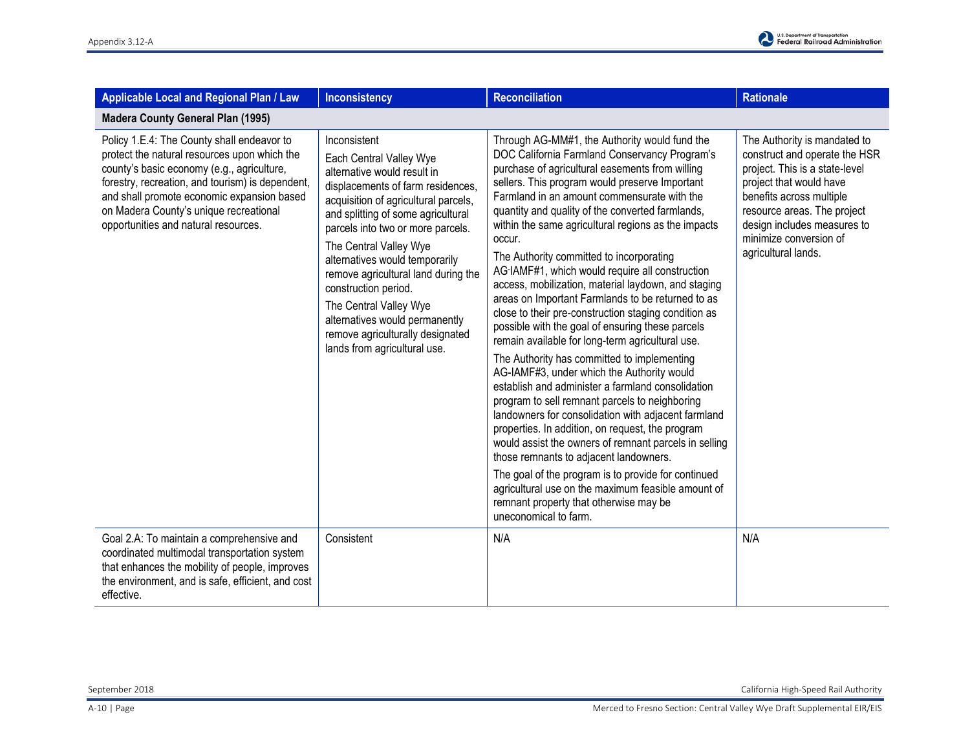| Applicable Local and Regional Plan / Law                                                                                                                                                                                                                                                                                     | <b>Inconsistency</b>                                                                                                                                                                                                                                                                                                                                                                                                                                                                      | <b>Reconciliation</b>                                                                                                                                                                                                                                                                                                                                                                                                                                                                                                                                                                                                                                                                                                                                                                                                                                                                                                                                                                                                                                                                                                                                                                                                                                                                                                                                | <b>Rationale</b>                                                                                                                                                                                                                                                      |  |
|------------------------------------------------------------------------------------------------------------------------------------------------------------------------------------------------------------------------------------------------------------------------------------------------------------------------------|-------------------------------------------------------------------------------------------------------------------------------------------------------------------------------------------------------------------------------------------------------------------------------------------------------------------------------------------------------------------------------------------------------------------------------------------------------------------------------------------|------------------------------------------------------------------------------------------------------------------------------------------------------------------------------------------------------------------------------------------------------------------------------------------------------------------------------------------------------------------------------------------------------------------------------------------------------------------------------------------------------------------------------------------------------------------------------------------------------------------------------------------------------------------------------------------------------------------------------------------------------------------------------------------------------------------------------------------------------------------------------------------------------------------------------------------------------------------------------------------------------------------------------------------------------------------------------------------------------------------------------------------------------------------------------------------------------------------------------------------------------------------------------------------------------------------------------------------------------|-----------------------------------------------------------------------------------------------------------------------------------------------------------------------------------------------------------------------------------------------------------------------|--|
| <b>Madera County General Plan (1995)</b>                                                                                                                                                                                                                                                                                     |                                                                                                                                                                                                                                                                                                                                                                                                                                                                                           |                                                                                                                                                                                                                                                                                                                                                                                                                                                                                                                                                                                                                                                                                                                                                                                                                                                                                                                                                                                                                                                                                                                                                                                                                                                                                                                                                      |                                                                                                                                                                                                                                                                       |  |
| Policy 1.E.4: The County shall endeavor to<br>protect the natural resources upon which the<br>county's basic economy (e.g., agriculture,<br>forestry, recreation, and tourism) is dependent,<br>and shall promote economic expansion based<br>on Madera County's unique recreational<br>opportunities and natural resources. | Inconsistent<br>Each Central Valley Wye<br>alternative would result in<br>displacements of farm residences,<br>acquisition of agricultural parcels,<br>and splitting of some agricultural<br>parcels into two or more parcels.<br>The Central Valley Wye<br>alternatives would temporarily<br>remove agricultural land during the<br>construction period.<br>The Central Valley Wye<br>alternatives would permanently<br>remove agriculturally designated<br>lands from agricultural use. | Through AG-MM#1, the Authority would fund the<br>DOC California Farmland Conservancy Program's<br>purchase of agricultural easements from willing<br>sellers. This program would preserve Important<br>Farmland in an amount commensurate with the<br>quantity and quality of the converted farmlands,<br>within the same agricultural regions as the impacts<br>occur.<br>The Authority committed to incorporating<br>AG-IAMF#1, which would require all construction<br>access, mobilization, material laydown, and staging<br>areas on Important Farmlands to be returned to as<br>close to their pre-construction staging condition as<br>possible with the goal of ensuring these parcels<br>remain available for long-term agricultural use.<br>The Authority has committed to implementing<br>AG-IAMF#3, under which the Authority would<br>establish and administer a farmland consolidation<br>program to sell remnant parcels to neighboring<br>landowners for consolidation with adjacent farmland<br>properties. In addition, on request, the program<br>would assist the owners of remnant parcels in selling<br>those remnants to adjacent landowners.<br>The goal of the program is to provide for continued<br>agricultural use on the maximum feasible amount of<br>remnant property that otherwise may be<br>uneconomical to farm. | The Authority is mandated to<br>construct and operate the HSR<br>project. This is a state-level<br>project that would have<br>benefits across multiple<br>resource areas. The project<br>design includes measures to<br>minimize conversion of<br>agricultural lands. |  |
| Goal 2.A: To maintain a comprehensive and<br>coordinated multimodal transportation system<br>that enhances the mobility of people, improves<br>the environment, and is safe, efficient, and cost<br>effective.                                                                                                               | Consistent                                                                                                                                                                                                                                                                                                                                                                                                                                                                                | N/A                                                                                                                                                                                                                                                                                                                                                                                                                                                                                                                                                                                                                                                                                                                                                                                                                                                                                                                                                                                                                                                                                                                                                                                                                                                                                                                                                  | N/A                                                                                                                                                                                                                                                                   |  |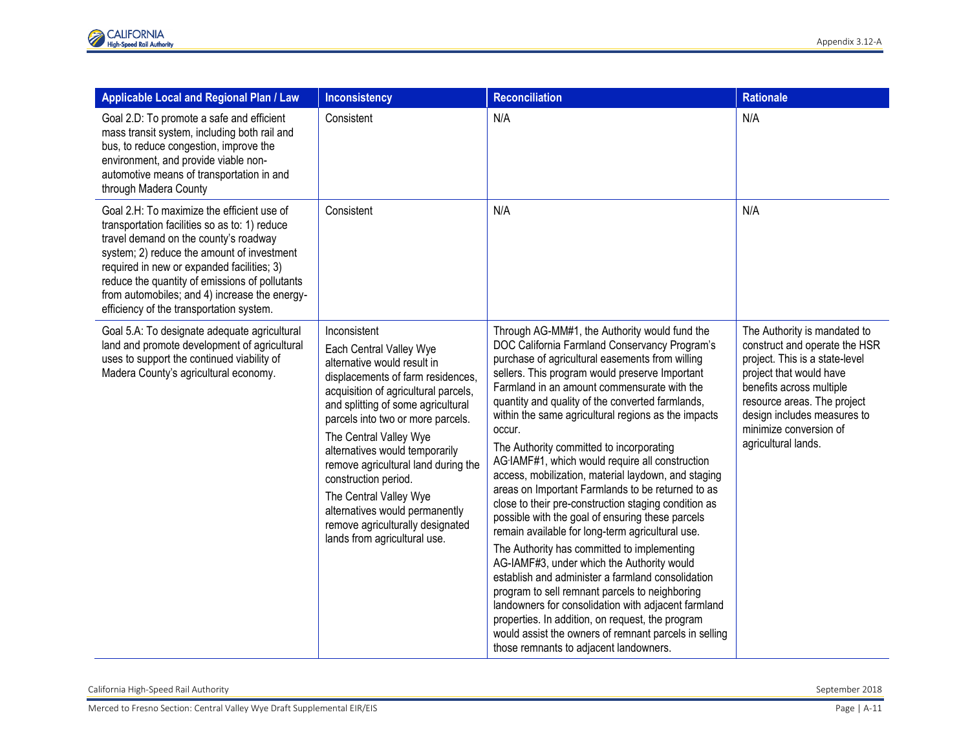| Applicable Local and Regional Plan / Law                                                                                                                                                                                                                                                                                                                                        | <b>Inconsistency</b>                                                                                                                                                                                                                                                                                                                                                                                                                                                                      | Reconciliation                                                                                                                                                                                                                                                                                                                                                                                                                                                                                                                                                                                                                                                                                                                                                                                                                                                                                                                                                                                                                                                                                                                                                       | <b>Rationale</b>                                                                                                                                                                                                                                                      |
|---------------------------------------------------------------------------------------------------------------------------------------------------------------------------------------------------------------------------------------------------------------------------------------------------------------------------------------------------------------------------------|-------------------------------------------------------------------------------------------------------------------------------------------------------------------------------------------------------------------------------------------------------------------------------------------------------------------------------------------------------------------------------------------------------------------------------------------------------------------------------------------|----------------------------------------------------------------------------------------------------------------------------------------------------------------------------------------------------------------------------------------------------------------------------------------------------------------------------------------------------------------------------------------------------------------------------------------------------------------------------------------------------------------------------------------------------------------------------------------------------------------------------------------------------------------------------------------------------------------------------------------------------------------------------------------------------------------------------------------------------------------------------------------------------------------------------------------------------------------------------------------------------------------------------------------------------------------------------------------------------------------------------------------------------------------------|-----------------------------------------------------------------------------------------------------------------------------------------------------------------------------------------------------------------------------------------------------------------------|
| Goal 2.D: To promote a safe and efficient<br>mass transit system, including both rail and<br>bus, to reduce congestion, improve the<br>environment, and provide viable non-<br>automotive means of transportation in and<br>through Madera County                                                                                                                               | Consistent                                                                                                                                                                                                                                                                                                                                                                                                                                                                                | N/A                                                                                                                                                                                                                                                                                                                                                                                                                                                                                                                                                                                                                                                                                                                                                                                                                                                                                                                                                                                                                                                                                                                                                                  | N/A                                                                                                                                                                                                                                                                   |
| Goal 2.H: To maximize the efficient use of<br>transportation facilities so as to: 1) reduce<br>travel demand on the county's roadway<br>system; 2) reduce the amount of investment<br>required in new or expanded facilities; 3)<br>reduce the quantity of emissions of pollutants<br>from automobiles; and 4) increase the energy-<br>efficiency of the transportation system. | Consistent                                                                                                                                                                                                                                                                                                                                                                                                                                                                                | N/A                                                                                                                                                                                                                                                                                                                                                                                                                                                                                                                                                                                                                                                                                                                                                                                                                                                                                                                                                                                                                                                                                                                                                                  | N/A                                                                                                                                                                                                                                                                   |
| Goal 5.A: To designate adequate agricultural<br>land and promote development of agricultural<br>uses to support the continued viability of<br>Madera County's agricultural economy.                                                                                                                                                                                             | Inconsistent<br>Each Central Valley Wye<br>alternative would result in<br>displacements of farm residences,<br>acquisition of agricultural parcels,<br>and splitting of some agricultural<br>parcels into two or more parcels.<br>The Central Valley Wye<br>alternatives would temporarily<br>remove agricultural land during the<br>construction period.<br>The Central Valley Wye<br>alternatives would permanently<br>remove agriculturally designated<br>lands from agricultural use. | Through AG-MM#1, the Authority would fund the<br>DOC California Farmland Conservancy Program's<br>purchase of agricultural easements from willing<br>sellers. This program would preserve Important<br>Farmland in an amount commensurate with the<br>quantity and quality of the converted farmlands,<br>within the same agricultural regions as the impacts<br>occur.<br>The Authority committed to incorporating<br>AG-IAMF#1, which would require all construction<br>access, mobilization, material laydown, and staging<br>areas on Important Farmlands to be returned to as<br>close to their pre-construction staging condition as<br>possible with the goal of ensuring these parcels<br>remain available for long-term agricultural use.<br>The Authority has committed to implementing<br>AG-IAMF#3, under which the Authority would<br>establish and administer a farmland consolidation<br>program to sell remnant parcels to neighboring<br>landowners for consolidation with adjacent farmland<br>properties. In addition, on request, the program<br>would assist the owners of remnant parcels in selling<br>those remnants to adjacent landowners. | The Authority is mandated to<br>construct and operate the HSR<br>project. This is a state-level<br>project that would have<br>benefits across multiple<br>resource areas. The project<br>design includes measures to<br>minimize conversion of<br>agricultural lands. |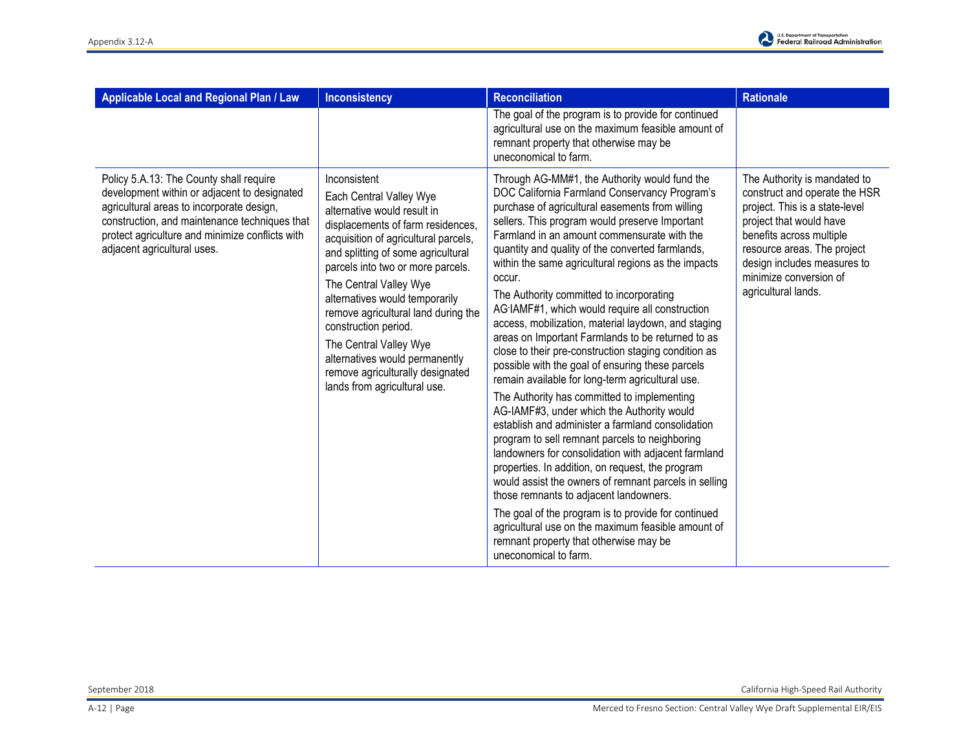

| Applicable Local and Regional Plan / Law                                                                                                                                                                                                                                | <b>Inconsistency</b>                                                                                                                                                                                                                                                                                                                                                                                                                                                                      | <b>Reconciliation</b>                                                                                                                                                                                                                                                                                                                                                                                                                                                                                                                                                                                                                                                                                                                                                                                                                                                                                                                                                                                                                                                                                                                                                                                                                                                                                                                                | <b>Rationale</b>                                                                                                                                                                                                                                                      |
|-------------------------------------------------------------------------------------------------------------------------------------------------------------------------------------------------------------------------------------------------------------------------|-------------------------------------------------------------------------------------------------------------------------------------------------------------------------------------------------------------------------------------------------------------------------------------------------------------------------------------------------------------------------------------------------------------------------------------------------------------------------------------------|------------------------------------------------------------------------------------------------------------------------------------------------------------------------------------------------------------------------------------------------------------------------------------------------------------------------------------------------------------------------------------------------------------------------------------------------------------------------------------------------------------------------------------------------------------------------------------------------------------------------------------------------------------------------------------------------------------------------------------------------------------------------------------------------------------------------------------------------------------------------------------------------------------------------------------------------------------------------------------------------------------------------------------------------------------------------------------------------------------------------------------------------------------------------------------------------------------------------------------------------------------------------------------------------------------------------------------------------------|-----------------------------------------------------------------------------------------------------------------------------------------------------------------------------------------------------------------------------------------------------------------------|
|                                                                                                                                                                                                                                                                         |                                                                                                                                                                                                                                                                                                                                                                                                                                                                                           | The goal of the program is to provide for continued<br>agricultural use on the maximum feasible amount of<br>remnant property that otherwise may be<br>uneconomical to farm.                                                                                                                                                                                                                                                                                                                                                                                                                                                                                                                                                                                                                                                                                                                                                                                                                                                                                                                                                                                                                                                                                                                                                                         |                                                                                                                                                                                                                                                                       |
| Policy 5.A.13: The County shall require<br>development within or adjacent to designated<br>agricultural areas to incorporate design,<br>construction, and maintenance techniques that<br>protect agriculture and minimize conflicts with<br>adjacent agricultural uses. | Inconsistent<br>Each Central Valley Wye<br>alternative would result in<br>displacements of farm residences,<br>acquisition of agricultural parcels,<br>and splitting of some agricultural<br>parcels into two or more parcels.<br>The Central Valley Wye<br>alternatives would temporarily<br>remove agricultural land during the<br>construction period.<br>The Central Valley Wye<br>alternatives would permanently<br>remove agriculturally designated<br>lands from agricultural use. | Through AG-MM#1, the Authority would fund the<br>DOC California Farmland Conservancy Program's<br>purchase of agricultural easements from willing<br>sellers. This program would preserve Important<br>Farmland in an amount commensurate with the<br>quantity and quality of the converted farmlands,<br>within the same agricultural regions as the impacts<br>occur.<br>The Authority committed to incorporating<br>AG-IAMF#1, which would require all construction<br>access, mobilization, material laydown, and staging<br>areas on Important Farmlands to be returned to as<br>close to their pre-construction staging condition as<br>possible with the goal of ensuring these parcels<br>remain available for long-term agricultural use.<br>The Authority has committed to implementing<br>AG-IAMF#3, under which the Authority would<br>establish and administer a farmland consolidation<br>program to sell remnant parcels to neighboring<br>landowners for consolidation with adjacent farmland<br>properties. In addition, on request, the program<br>would assist the owners of remnant parcels in selling<br>those remnants to adjacent landowners.<br>The goal of the program is to provide for continued<br>agricultural use on the maximum feasible amount of<br>remnant property that otherwise may be<br>uneconomical to farm. | The Authority is mandated to<br>construct and operate the HSR<br>project. This is a state-level<br>project that would have<br>benefits across multiple<br>resource areas. The project<br>design includes measures to<br>minimize conversion of<br>agricultural lands. |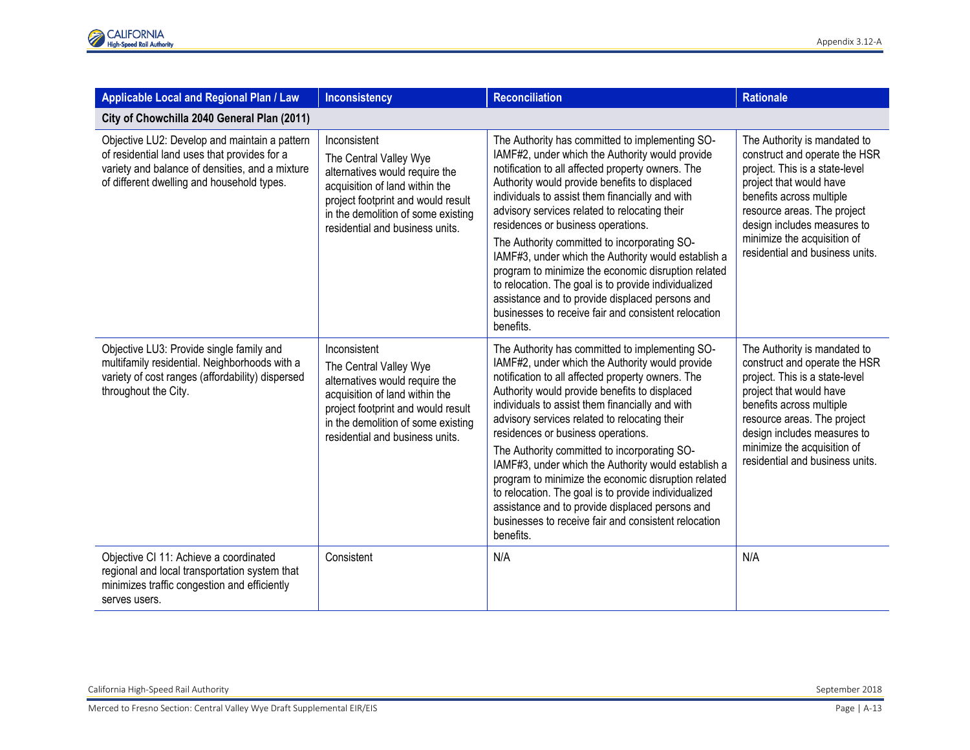| Applicable Local and Regional Plan / Law                                                                                                                                                       | <b>Inconsistency</b>                                                                                                                                                                                                      | <b>Reconciliation</b>                                                                                                                                                                                                                                                                                                                                                                                                                                                                                                                                                                                                                                                                            | <b>Rationale</b>                                                                                                                                                                                                                                                                       |  |  |
|------------------------------------------------------------------------------------------------------------------------------------------------------------------------------------------------|---------------------------------------------------------------------------------------------------------------------------------------------------------------------------------------------------------------------------|--------------------------------------------------------------------------------------------------------------------------------------------------------------------------------------------------------------------------------------------------------------------------------------------------------------------------------------------------------------------------------------------------------------------------------------------------------------------------------------------------------------------------------------------------------------------------------------------------------------------------------------------------------------------------------------------------|----------------------------------------------------------------------------------------------------------------------------------------------------------------------------------------------------------------------------------------------------------------------------------------|--|--|
| City of Chowchilla 2040 General Plan (2011)                                                                                                                                                    |                                                                                                                                                                                                                           |                                                                                                                                                                                                                                                                                                                                                                                                                                                                                                                                                                                                                                                                                                  |                                                                                                                                                                                                                                                                                        |  |  |
| Objective LU2: Develop and maintain a pattern<br>of residential land uses that provides for a<br>variety and balance of densities, and a mixture<br>of different dwelling and household types. | Inconsistent<br>The Central Valley Wye<br>alternatives would require the<br>acquisition of land within the<br>project footprint and would result<br>in the demolition of some existing<br>residential and business units. | The Authority has committed to implementing SO-<br>IAMF#2, under which the Authority would provide<br>notification to all affected property owners. The<br>Authority would provide benefits to displaced<br>individuals to assist them financially and with<br>advisory services related to relocating their<br>residences or business operations.<br>The Authority committed to incorporating SO-<br>IAMF#3, under which the Authority would establish a<br>program to minimize the economic disruption related<br>to relocation. The goal is to provide individualized<br>assistance and to provide displaced persons and<br>businesses to receive fair and consistent relocation<br>benefits. | The Authority is mandated to<br>construct and operate the HSR<br>project. This is a state-level<br>project that would have<br>benefits across multiple<br>resource areas. The project<br>design includes measures to<br>minimize the acquisition of<br>residential and business units. |  |  |
| Objective LU3: Provide single family and<br>multifamily residential. Neighborhoods with a<br>variety of cost ranges (affordability) dispersed<br>throughout the City.                          | Inconsistent<br>The Central Valley Wye<br>alternatives would require the<br>acquisition of land within the<br>project footprint and would result<br>in the demolition of some existing<br>residential and business units. | The Authority has committed to implementing SO-<br>IAMF#2, under which the Authority would provide<br>notification to all affected property owners. The<br>Authority would provide benefits to displaced<br>individuals to assist them financially and with<br>advisory services related to relocating their<br>residences or business operations.<br>The Authority committed to incorporating SO-<br>IAMF#3, under which the Authority would establish a<br>program to minimize the economic disruption related<br>to relocation. The goal is to provide individualized<br>assistance and to provide displaced persons and<br>businesses to receive fair and consistent relocation<br>benefits. | The Authority is mandated to<br>construct and operate the HSR<br>project. This is a state-level<br>project that would have<br>benefits across multiple<br>resource areas. The project<br>design includes measures to<br>minimize the acquisition of<br>residential and business units. |  |  |
| Objective CI 11: Achieve a coordinated<br>regional and local transportation system that<br>minimizes traffic congestion and efficiently<br>serves users.                                       | Consistent                                                                                                                                                                                                                | N/A                                                                                                                                                                                                                                                                                                                                                                                                                                                                                                                                                                                                                                                                                              | N/A                                                                                                                                                                                                                                                                                    |  |  |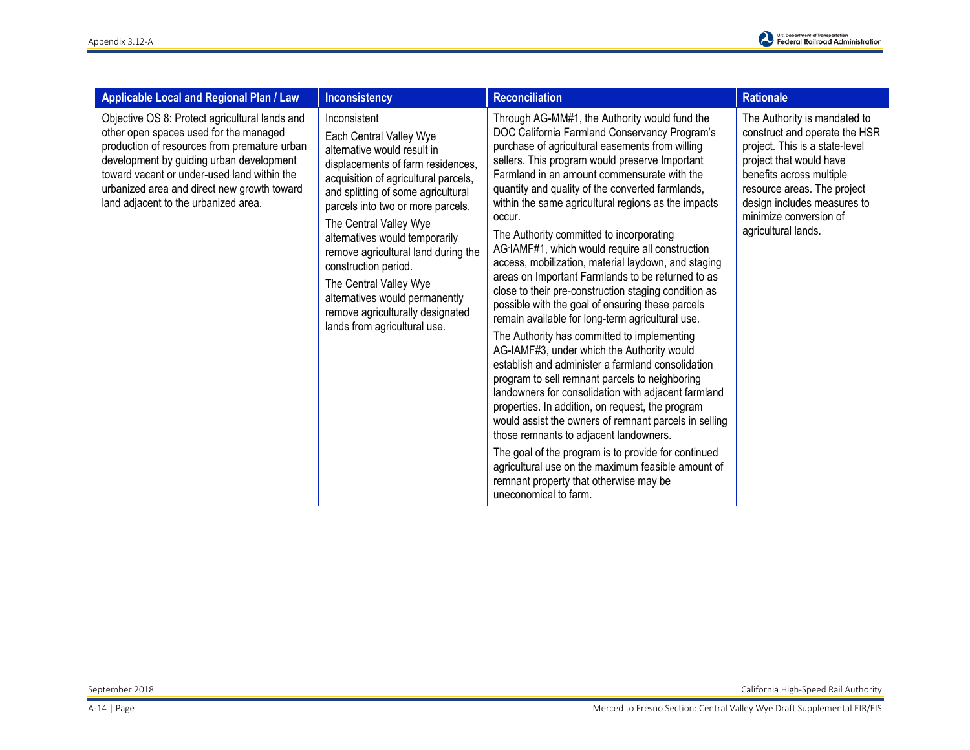

| <b>Applicable Local and Regional Plan / Law</b>                                                                                                                                                                                                                                                                            | <b>Inconsistency</b>                                                                                                                                                                                                                                                                                                                                                                                                                                                                      | <b>Reconciliation</b>                                                                                                                                                                                                                                                                                                                                                                                                                                                                                                                                                                                                                                                                                                                                                                                                                                                                                                                                                                                                                                                                                                                                                                                                                                                                                                                                | <b>Rationale</b>                                                                                                                                                                                                                                                      |
|----------------------------------------------------------------------------------------------------------------------------------------------------------------------------------------------------------------------------------------------------------------------------------------------------------------------------|-------------------------------------------------------------------------------------------------------------------------------------------------------------------------------------------------------------------------------------------------------------------------------------------------------------------------------------------------------------------------------------------------------------------------------------------------------------------------------------------|------------------------------------------------------------------------------------------------------------------------------------------------------------------------------------------------------------------------------------------------------------------------------------------------------------------------------------------------------------------------------------------------------------------------------------------------------------------------------------------------------------------------------------------------------------------------------------------------------------------------------------------------------------------------------------------------------------------------------------------------------------------------------------------------------------------------------------------------------------------------------------------------------------------------------------------------------------------------------------------------------------------------------------------------------------------------------------------------------------------------------------------------------------------------------------------------------------------------------------------------------------------------------------------------------------------------------------------------------|-----------------------------------------------------------------------------------------------------------------------------------------------------------------------------------------------------------------------------------------------------------------------|
| Objective OS 8: Protect agricultural lands and<br>other open spaces used for the managed<br>production of resources from premature urban<br>development by guiding urban development<br>toward vacant or under-used land within the<br>urbanized area and direct new growth toward<br>land adjacent to the urbanized area. | Inconsistent<br>Each Central Valley Wye<br>alternative would result in<br>displacements of farm residences,<br>acquisition of agricultural parcels,<br>and splitting of some agricultural<br>parcels into two or more parcels.<br>The Central Valley Wye<br>alternatives would temporarily<br>remove agricultural land during the<br>construction period.<br>The Central Valley Wye<br>alternatives would permanently<br>remove agriculturally designated<br>lands from agricultural use. | Through AG-MM#1, the Authority would fund the<br>DOC California Farmland Conservancy Program's<br>purchase of agricultural easements from willing<br>sellers. This program would preserve Important<br>Farmland in an amount commensurate with the<br>quantity and quality of the converted farmlands,<br>within the same agricultural regions as the impacts<br>occur.<br>The Authority committed to incorporating<br>AG-IAMF#1, which would require all construction<br>access, mobilization, material laydown, and staging<br>areas on Important Farmlands to be returned to as<br>close to their pre-construction staging condition as<br>possible with the goal of ensuring these parcels<br>remain available for long-term agricultural use.<br>The Authority has committed to implementing<br>AG-IAMF#3, under which the Authority would<br>establish and administer a farmland consolidation<br>program to sell remnant parcels to neighboring<br>landowners for consolidation with adjacent farmland<br>properties. In addition, on request, the program<br>would assist the owners of remnant parcels in selling<br>those remnants to adjacent landowners.<br>The goal of the program is to provide for continued<br>agricultural use on the maximum feasible amount of<br>remnant property that otherwise may be<br>uneconomical to farm. | The Authority is mandated to<br>construct and operate the HSR<br>project. This is a state-level<br>project that would have<br>benefits across multiple<br>resource areas. The project<br>design includes measures to<br>minimize conversion of<br>agricultural lands. |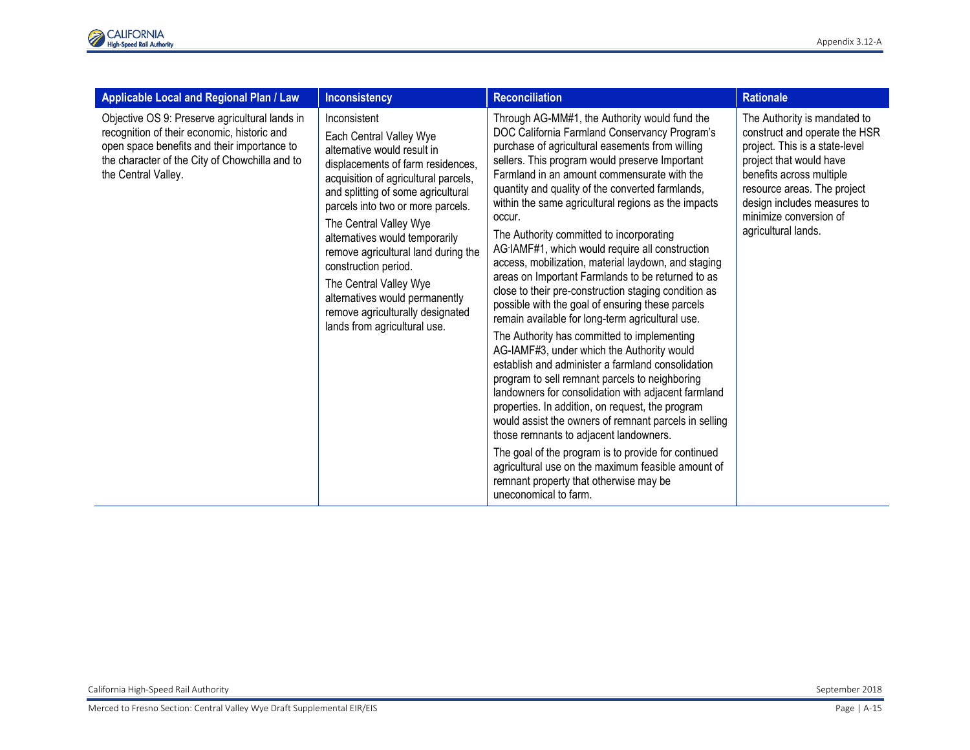

| Applicable Local and Regional Plan / Law                                                                                                                                                                              | <b>Inconsistency</b>                                                                                                                                                                                                                                                                                                                                                                                                                                                                      | <b>Reconciliation</b>                                                                                                                                                                                                                                                                                                                                                                                                                                                                                                                                                                                                                                                                                                                                                                                                                                                                                                                                                                                                                                                                                                                                                                                                                                                                                                                                | <b>Rationale</b>                                                                                                                                                                                                                                                      |
|-----------------------------------------------------------------------------------------------------------------------------------------------------------------------------------------------------------------------|-------------------------------------------------------------------------------------------------------------------------------------------------------------------------------------------------------------------------------------------------------------------------------------------------------------------------------------------------------------------------------------------------------------------------------------------------------------------------------------------|------------------------------------------------------------------------------------------------------------------------------------------------------------------------------------------------------------------------------------------------------------------------------------------------------------------------------------------------------------------------------------------------------------------------------------------------------------------------------------------------------------------------------------------------------------------------------------------------------------------------------------------------------------------------------------------------------------------------------------------------------------------------------------------------------------------------------------------------------------------------------------------------------------------------------------------------------------------------------------------------------------------------------------------------------------------------------------------------------------------------------------------------------------------------------------------------------------------------------------------------------------------------------------------------------------------------------------------------------|-----------------------------------------------------------------------------------------------------------------------------------------------------------------------------------------------------------------------------------------------------------------------|
| Objective OS 9: Preserve agricultural lands in<br>recognition of their economic, historic and<br>open space benefits and their importance to<br>the character of the City of Chowchilla and to<br>the Central Valley. | Inconsistent<br>Each Central Valley Wye<br>alternative would result in<br>displacements of farm residences,<br>acquisition of agricultural parcels,<br>and splitting of some agricultural<br>parcels into two or more parcels.<br>The Central Valley Wye<br>alternatives would temporarily<br>remove agricultural land during the<br>construction period.<br>The Central Valley Wye<br>alternatives would permanently<br>remove agriculturally designated<br>lands from agricultural use. | Through AG-MM#1, the Authority would fund the<br>DOC California Farmland Conservancy Program's<br>purchase of agricultural easements from willing<br>sellers. This program would preserve Important<br>Farmland in an amount commensurate with the<br>quantity and quality of the converted farmlands,<br>within the same agricultural regions as the impacts<br>occur.<br>The Authority committed to incorporating<br>AG-IAMF#1, which would require all construction<br>access, mobilization, material laydown, and staging<br>areas on Important Farmlands to be returned to as<br>close to their pre-construction staging condition as<br>possible with the goal of ensuring these parcels<br>remain available for long-term agricultural use.<br>The Authority has committed to implementing<br>AG-IAMF#3, under which the Authority would<br>establish and administer a farmland consolidation<br>program to sell remnant parcels to neighboring<br>landowners for consolidation with adjacent farmland<br>properties. In addition, on request, the program<br>would assist the owners of remnant parcels in selling<br>those remnants to adjacent landowners.<br>The goal of the program is to provide for continued<br>agricultural use on the maximum feasible amount of<br>remnant property that otherwise may be<br>uneconomical to farm. | The Authority is mandated to<br>construct and operate the HSR<br>project. This is a state-level<br>project that would have<br>benefits across multiple<br>resource areas. The project<br>design includes measures to<br>minimize conversion of<br>agricultural lands. |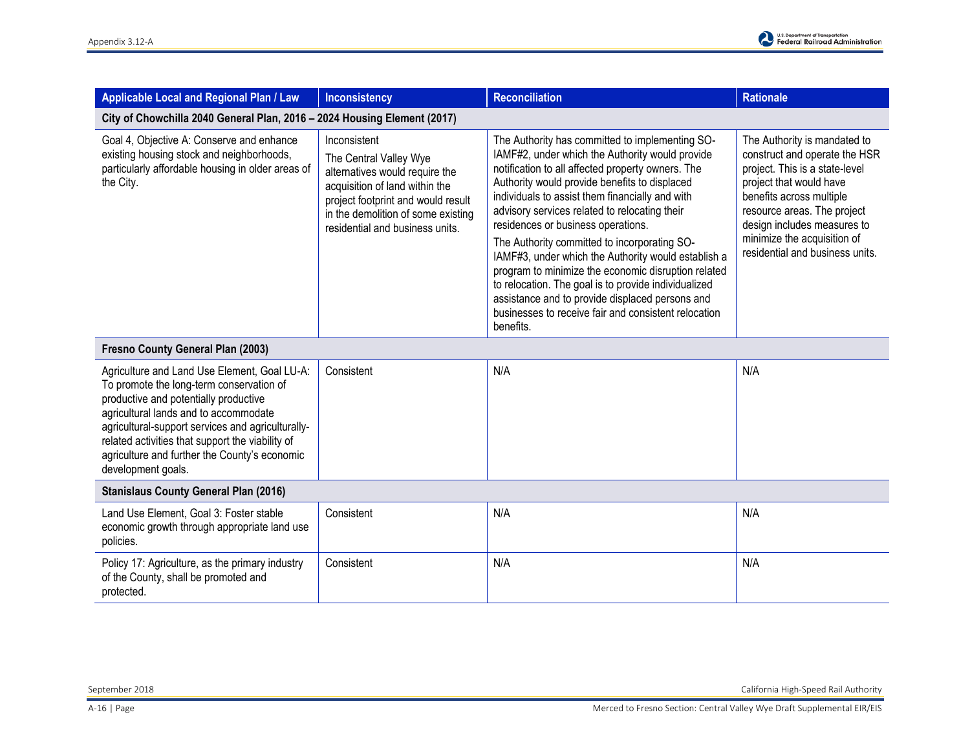| Applicable Local and Regional Plan / Law                                                                                                                                                                                                                                                                                                                   | <b>Inconsistency</b>                                                                                                                                                                                                      | <b>Reconciliation</b>                                                                                                                                                                                                                                                                                                                                                                                                                                                                                                                                                                                                                                                                            | <b>Rationale</b>                                                                                                                                                                                                                                                                       |  |  |
|------------------------------------------------------------------------------------------------------------------------------------------------------------------------------------------------------------------------------------------------------------------------------------------------------------------------------------------------------------|---------------------------------------------------------------------------------------------------------------------------------------------------------------------------------------------------------------------------|--------------------------------------------------------------------------------------------------------------------------------------------------------------------------------------------------------------------------------------------------------------------------------------------------------------------------------------------------------------------------------------------------------------------------------------------------------------------------------------------------------------------------------------------------------------------------------------------------------------------------------------------------------------------------------------------------|----------------------------------------------------------------------------------------------------------------------------------------------------------------------------------------------------------------------------------------------------------------------------------------|--|--|
| City of Chowchilla 2040 General Plan, 2016 - 2024 Housing Element (2017)                                                                                                                                                                                                                                                                                   |                                                                                                                                                                                                                           |                                                                                                                                                                                                                                                                                                                                                                                                                                                                                                                                                                                                                                                                                                  |                                                                                                                                                                                                                                                                                        |  |  |
| Goal 4, Objective A: Conserve and enhance<br>existing housing stock and neighborhoods,<br>particularly affordable housing in older areas of<br>the City.                                                                                                                                                                                                   | Inconsistent<br>The Central Valley Wye<br>alternatives would require the<br>acquisition of land within the<br>project footprint and would result<br>in the demolition of some existing<br>residential and business units. | The Authority has committed to implementing SO-<br>IAMF#2, under which the Authority would provide<br>notification to all affected property owners. The<br>Authority would provide benefits to displaced<br>individuals to assist them financially and with<br>advisory services related to relocating their<br>residences or business operations.<br>The Authority committed to incorporating SO-<br>IAMF#3, under which the Authority would establish a<br>program to minimize the economic disruption related<br>to relocation. The goal is to provide individualized<br>assistance and to provide displaced persons and<br>businesses to receive fair and consistent relocation<br>benefits. | The Authority is mandated to<br>construct and operate the HSR<br>project. This is a state-level<br>project that would have<br>benefits across multiple<br>resource areas. The project<br>design includes measures to<br>minimize the acquisition of<br>residential and business units. |  |  |
| Fresno County General Plan (2003)                                                                                                                                                                                                                                                                                                                          |                                                                                                                                                                                                                           |                                                                                                                                                                                                                                                                                                                                                                                                                                                                                                                                                                                                                                                                                                  |                                                                                                                                                                                                                                                                                        |  |  |
| Agriculture and Land Use Element, Goal LU-A:<br>To promote the long-term conservation of<br>productive and potentially productive<br>agricultural lands and to accommodate<br>agricultural-support services and agriculturally-<br>related activities that support the viability of<br>agriculture and further the County's economic<br>development goals. | Consistent                                                                                                                                                                                                                | N/A                                                                                                                                                                                                                                                                                                                                                                                                                                                                                                                                                                                                                                                                                              | N/A                                                                                                                                                                                                                                                                                    |  |  |
| <b>Stanislaus County General Plan (2016)</b>                                                                                                                                                                                                                                                                                                               |                                                                                                                                                                                                                           |                                                                                                                                                                                                                                                                                                                                                                                                                                                                                                                                                                                                                                                                                                  |                                                                                                                                                                                                                                                                                        |  |  |
| Land Use Element, Goal 3: Foster stable<br>economic growth through appropriate land use<br>policies.                                                                                                                                                                                                                                                       | Consistent                                                                                                                                                                                                                | N/A                                                                                                                                                                                                                                                                                                                                                                                                                                                                                                                                                                                                                                                                                              | N/A                                                                                                                                                                                                                                                                                    |  |  |
| Policy 17: Agriculture, as the primary industry<br>of the County, shall be promoted and<br>protected.                                                                                                                                                                                                                                                      | Consistent                                                                                                                                                                                                                | N/A                                                                                                                                                                                                                                                                                                                                                                                                                                                                                                                                                                                                                                                                                              | N/A                                                                                                                                                                                                                                                                                    |  |  |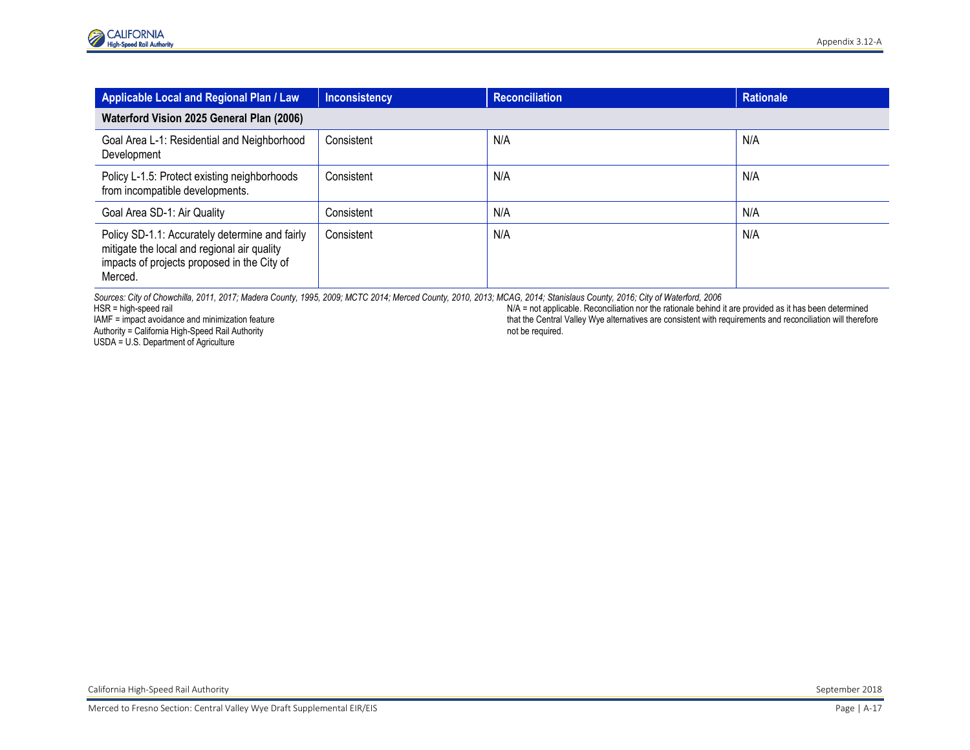| Applicable Local and Regional Plan / Law                                                                                                                | <b>Inconsistency</b> | <b>Reconciliation</b> | <b>Rationale</b> |  |  |
|---------------------------------------------------------------------------------------------------------------------------------------------------------|----------------------|-----------------------|------------------|--|--|
| Waterford Vision 2025 General Plan (2006)                                                                                                               |                      |                       |                  |  |  |
| Goal Area L-1: Residential and Neighborhood<br>Development                                                                                              | Consistent           | N/A                   | N/A              |  |  |
| Policy L-1.5: Protect existing neighborhoods<br>from incompatible developments.                                                                         | Consistent           | N/A                   | N/A              |  |  |
| Goal Area SD-1: Air Quality                                                                                                                             | Consistent           | N/A                   | N/A              |  |  |
| Policy SD-1.1: Accurately determine and fairly<br>mitigate the local and regional air quality<br>impacts of projects proposed in the City of<br>Merced. | Consistent           | N/A                   | N/A              |  |  |

*Sources: City of Chowchilla, 2011, 2017; Madera County, 1995, 2009; MCTC 2014; Merced County, 2010, 2013; MCAG, 2014; Stanislaus County, 2016; City of Waterford, 2006*

HSR = high-speed rail

IAMF = impact avoidance and minimization feature Authority = California High-Speed Rail Authority

USDA = U.S. Department of Agriculture

N/A = not applicable. Reconciliation nor the rationale behind it are provided as it has been determined that the Central Valley Wye alternatives are consistent with requirements and reconciliation will therefore not be required.